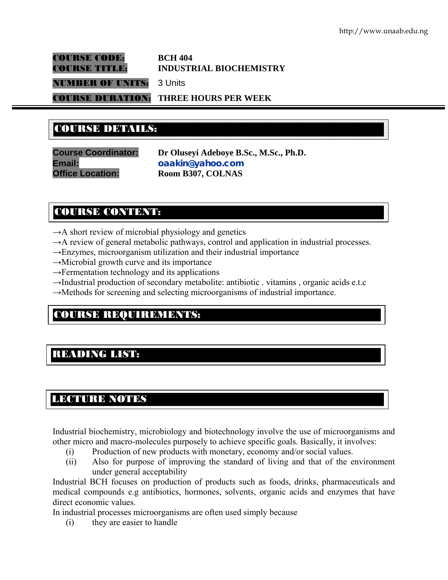COURSE CODE: **BCH 404** 

# COURSE TITLE: **INDUSTRIAL BIOCHEMISTRY**

NUMBER OF UNITS: 3 Units

COURSE DURATION: **THREE HOURS PER WEEK** 

# COURSE DETAILS: COURSE DETAILS:

**Course Coordinator: Dr Oluseyi Adeboye B.Sc., M.Sc., Ph.D. Email: oaakin@yahoo.com Office Location: Room B307, COLNAS** 

# COURSE CONTENT:

- $\rightarrow$ A short review of microbial physiology and genetics
- $\rightarrow$ A review of general metabolic pathways, control and application in industrial processes.
- $\rightarrow$ Enzymes, microorganism utilization and their industrial importance
- $\rightarrow$ Microbial growth curve and its importance
- $\rightarrow$ Fermentation technology and its applications
- $\rightarrow$ Industrial production of secondary metabolite: antibiotic . vitamins , organic acids e.t.c
- $\rightarrow$ Methods for screening and selecting microorganisms of industrial importance.

# COURSE REQUIREMENTS:

# READING LIST:

E

# LECTURE NOTES

Industrial biochemistry, microbiology and biotechnology involve the use of microorganisms and other micro and macro-molecules purposely to achieve specific goals. Basically, it involves:

- (i) Production of new products with monetary, economy and/or social values.
- (ii) Also for purpose of improving the standard of living and that of the environment under general acceptability

Industrial BCH focuses on production of products such as foods, drinks, pharmaceuticals and medical compounds e.g antibiotics, hormones, solvents, organic acids and enzymes that have direct economic values.

In industrial processes microorganisms are often used simply because

(i) they are easier to handle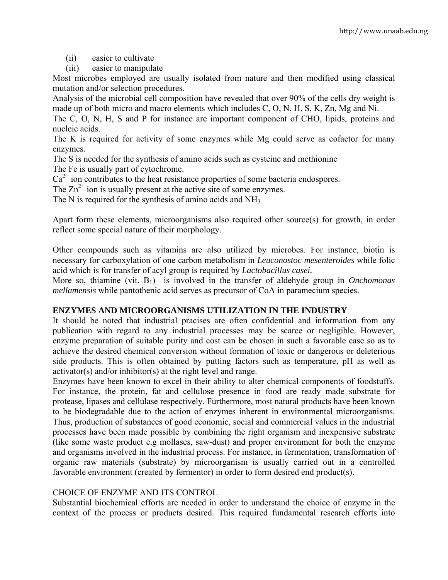- (ii) easier to cultivate
- (iii) easier to manipulate

Most microbes employed are usually isolated from nature and then modified using classical mutation and/or selection procedures.

Analysis of the microbial cell composition have revealed that over 90% of the cells dry weight is made up of both micro and macro elements which includes C, O, N, H, S, K, Zn, Mg and Ni.

The C, O, N, H, S and P for instance are important component of CHO, lipids, proteins and nucleic acids.

The K is required for activity of some enzymes while Mg could serve as cofactor for many enzymes.

The S is needed for the synthesis of amino acids such as cysteine and methionine

The Fe is usually part of cytochrome.

 $Ca<sup>2+</sup>$  ion contributes to the heat resistance properties of some bacteria endospores.

The  $\text{Zn}^{2+}$  ion is usually present at the active site of some enzymes.

The N is required for the synthesis of amino acids and NH<sub>3</sub>

Apart form these elements, microorganisms also required other source(s) for growth, in order reflect some special nature of their morphology.

Other compounds such as vitamins are also utilized by microbes. For instance, biotin is necessary for carboxylation of one carbon metabolism in *Leuconostoc mesenteroides* while folic acid which is for transfer of acyl group is required by *Lactobacillus casei.*

More so, thiamine (vit. B<sub>1</sub>) is involved in the transfer of aldehyde group in *Onchomonas mellamensis* while pantothenic acid serves as precursor of CoA in paramecium species.

# **ENZYMES AND MICROORGANISMS UTILIZATION IN THE INDUSTRY**

It should be noted that industrial pracises are often confidential and information from any publication with regard to any industrial processes may be scarce or negligible. However, enzyme preparation of suitable purity and cost can be chosen in such a favorable case so as to achieve the desired chemical conversion without formation of toxic or dangerous or deleterious side products. This is often obtained by putting factors such as temperature, pH as well as activator(s) and/or inhibitor(s) at the right level and range.

Enzymes have been known to excel in their ability to alter chemical components of foodstuffs. For instance, the protein, fat and cellulose presence in food are ready made substrate for protease, lipases and cellulase respectively. Furthermore, most natural products have been known to be biodegradable due to the action of enzymes inherent in environmental microorganisms. Thus, production of substances of good economic, social and commercial values in the industrial processes have been made possible by combining the right organism and inexpensive substrate (like some waste product e.g mollases, saw-dust) and proper environment for both the enzyme and organisms involved in the industrial process. For instance, in fermentation, transformation of organic raw materials (substrate) by microorganism is usually carried out in a controlled favorable environment (created by fermentor) in order to form desired end product(s).

## CHOICE OF ENZYME AND ITS CONTROL

Substantial biochemical efforts are needed in order to understand the choice of enzyme in the context of the process or products desired. This required fundamental research efforts into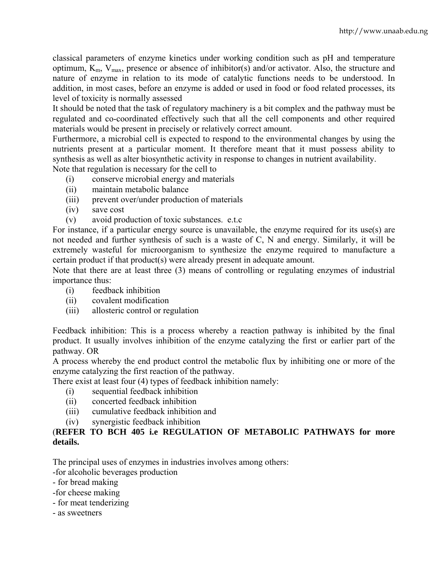classical parameters of enzyme kinetics under working condition such as pH and temperature optimum,  $K_m$ ,  $V_{max}$ , presence or absence of inhibitor(s) and/or activator. Also, the structure and nature of enzyme in relation to its mode of catalytic functions needs to be understood. In addition, in most cases, before an enzyme is added or used in food or food related processes, its level of toxicity is normally assessed

It should be noted that the task of regulatory machinery is a bit complex and the pathway must be regulated and co-coordinated effectively such that all the cell components and other required materials would be present in precisely or relatively correct amount.

Furthermore, a microbial cell is expected to respond to the environmental changes by using the nutrients present at a particular moment. It therefore meant that it must possess ability to synthesis as well as alter biosynthetic activity in response to changes in nutrient availability. Note that regulation is necessary for the cell to

- (i) conserve microbial energy and materials
- 
- (ii) maintain metabolic balance
- (iii) prevent over/under production of materials
- (iv) save cost
- (v) avoid production of toxic substances. e.t.c

For instance, if a particular energy source is unavailable, the enzyme required for its use(s) are not needed and further synthesis of such is a waste of C, N and energy. Similarly, it will be extremely wasteful for microorganism to synthesize the enzyme required to manufacture a certain product if that product(s) were already present in adequate amount.

Note that there are at least three (3) means of controlling or regulating enzymes of industrial importance thus:

- (i) feedback inhibition
- (ii) covalent modification
- (iii) allosteric control or regulation

Feedback inhibition: This is a process whereby a reaction pathway is inhibited by the final product. It usually involves inhibition of the enzyme catalyzing the first or earlier part of the pathway. OR

A process whereby the end product control the metabolic flux by inhibiting one or more of the enzyme catalyzing the first reaction of the pathway.

There exist at least four (4) types of feedback inhibition namely:

- (i) sequential feedback inhibition
- (ii) concerted feedback inhibition
- (iii) cumulative feedback inhibition and
- (iv) synergistic feedback inhibition

# (**REFER TO BCH 405 i.e REGULATION OF METABOLIC PATHWAYS for more details.**

The principal uses of enzymes in industries involves among others:

-for alcoholic beverages production

- for bread making
- -for cheese making
- for meat tenderizing
- as sweetners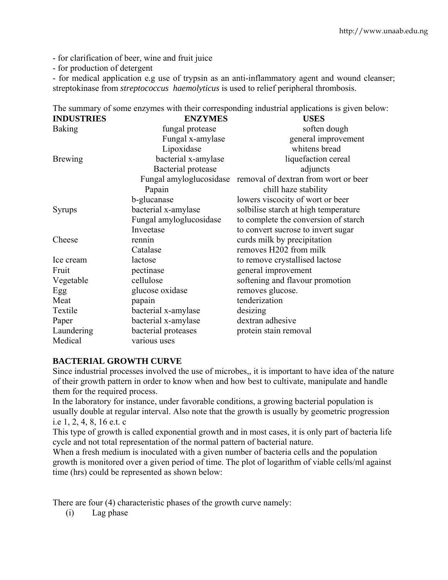- for clarification of beer, wine and fruit juice
- for production of detergent

- for medical application e.g use of trypsin as an anti-inflammatory agent and wound cleanser; streptokinase from *streptococcus haemolyticus* is used to relief peripheral thrombosis.

|                   |                         | The summary of some enzymes what their corresponding industrial approaches is given belo |
|-------------------|-------------------------|------------------------------------------------------------------------------------------|
| <b>INDUSTRIES</b> | <b>ENZYMES</b>          | <b>USES</b>                                                                              |
| <b>Baking</b>     | fungal protease         | soften dough                                                                             |
|                   | Fungal x-amylase        | general improvement                                                                      |
|                   | Lipoxidase              | whitens bread                                                                            |
| <b>Brewing</b>    | bacterial x-amylase     | liquefaction cereal                                                                      |
|                   | Bacterial protease      | adjuncts                                                                                 |
|                   | Fungal amyloglucosidase | removal of dextran from wort or beer                                                     |
|                   | Papain                  | chill haze stability                                                                     |
|                   | b-glucanase             | lowers viscocity of wort or beer                                                         |
| <b>Syrups</b>     | bacterial x-amylase     | solbilise starch at high temperature                                                     |
|                   | Fungal amyloglucosidase | to complete the conversion of starch                                                     |
|                   | Inveetase               | to convert sucrose to invert sugar                                                       |
| Cheese            | rennin                  | curds milk by precipitation                                                              |
|                   | Catalase                | removes H202 from milk                                                                   |
| Ice cream         | lactose                 | to remove crystallised lactose                                                           |
| Fruit             | pectinase               | general improvement                                                                      |
| Vegetable         | cellulose               | softening and flavour promotion                                                          |
| Egg               | glucose oxidase         | removes glucose.                                                                         |
| Meat              | papain                  | tenderization                                                                            |
| Textile           | bacterial x-amylase     | desizing                                                                                 |
| Paper             | bacterial x-amylase     | dextran adhesive                                                                         |
| Laundering        | bacterial proteases     | protein stain removal                                                                    |
| Medical           | various uses            |                                                                                          |

# The summary of some enzymes with their corresponding industrial applications is given below:

## **BACTERIAL GROWTH CURVE**

Since industrial processes involved the use of microbes,, it is important to have idea of the nature of their growth pattern in order to know when and how best to cultivate, manipulate and handle them for the required process.

In the laboratory for instance, under favorable conditions, a growing bacterial population is usually double at regular interval. Also note that the growth is usually by geometric progression i.e 1, 2, 4, 8, 16 e.t. c

This type of growth is called exponential growth and in most cases, it is only part of bacteria life cycle and not total representation of the normal pattern of bacterial nature.

When a fresh medium is inoculated with a given number of bacteria cells and the population growth is monitored over a given period of time. The plot of logarithm of viable cells/ml against time (hrs) could be represented as shown below:

There are four (4) characteristic phases of the growth curve namely:

(i) Lag phase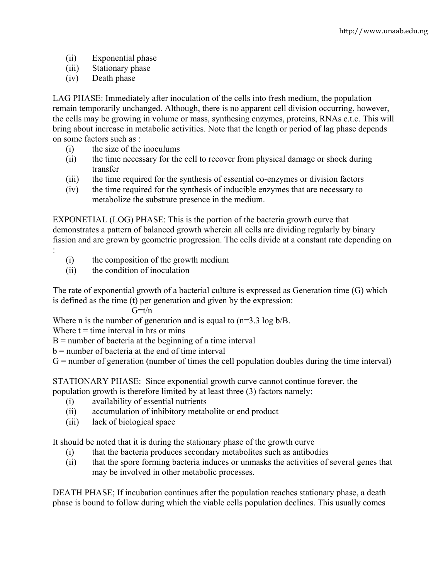- (ii) Exponential phase
- (iii) Stationary phase
- (iv) Death phase

LAG PHASE: Immediately after inoculation of the cells into fresh medium, the population remain temporarily unchanged. Although, there is no apparent cell division occurring, however, the cells may be growing in volume or mass, synthesing enzymes, proteins, RNAs e.t.c. This will bring about increase in metabolic activities. Note that the length or period of lag phase depends on some factors such as :

- (i) the size of the inoculums
- (ii) the time necessary for the cell to recover from physical damage or shock during transfer
- (iii) the time required for the synthesis of essential co-enzymes or division factors
- (iv) the time required for the synthesis of inducible enzymes that are necessary to metabolize the substrate presence in the medium.

EXPONETIAL (LOG) PHASE: This is the portion of the bacteria growth curve that demonstrates a pattern of balanced growth wherein all cells are dividing regularly by binary fission and are grown by geometric progression. The cells divide at a constant rate depending on :

- (i) the composition of the growth medium
- (ii) the condition of inoculation

The rate of exponential growth of a bacterial culture is expressed as Generation time (G) which is defined as the time (t) per generation and given by the expression:

 $G=t/n$ 

Where n is the number of generation and is equal to  $(n=3.3 \log b/B)$ .

Where  $t =$  time interval in hrs or mins

 $B =$  number of bacteria at the beginning of a time interval

b = number of bacteria at the end of time interval

 $G =$  number of generation (number of times the cell population doubles during the time interval)

STATIONARY PHASE: Since exponential growth curve cannot continue forever, the population growth is therefore limited by at least three (3) factors namely:

- (i) availability of essential nutrients
- (ii) accumulation of inhibitory metabolite or end product
- (iii) lack of biological space

It should be noted that it is during the stationary phase of the growth curve

- (i) that the bacteria produces secondary metabolites such as antibodies
- (ii) that the spore forming bacteria induces or unmasks the activities of several genes that may be involved in other metabolic processes.

DEATH PHASE; If incubation continues after the population reaches stationary phase, a death phase is bound to follow during which the viable cells population declines. This usually comes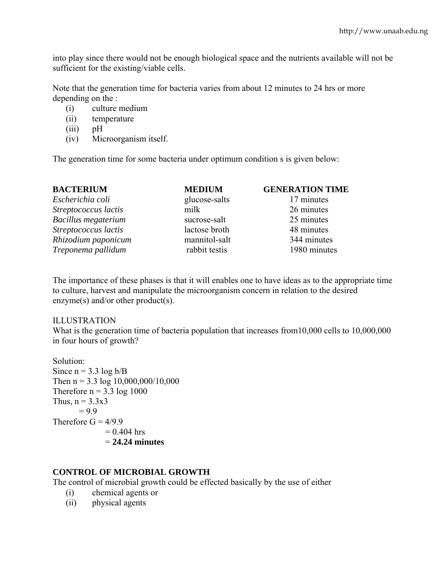into play since there would not be enough biological space and the nutrients available will not be sufficient for the existing/viable cells.

Note that the generation time for bacteria varies from about 12 minutes to 24 hrs or more depending on the :

- (i) culture medium
- (ii) temperature
- (iii) pH
- (iv) Microorganism itself.

The generation time for some bacteria under optimum condition s is given below:

| <b>BACTERIUM</b>           | <b>MEDIUM</b> | <b>GENERATION TIME</b> |
|----------------------------|---------------|------------------------|
| Escherichia coli           | glucose-salts | 17 minutes             |
| Streptococcus lactis       | milk          | 26 minutes             |
| <b>Bacillus</b> megaterium | sucrose-salt  | 25 minutes             |
| Streptococcus lactis       | lactose broth | 48 minutes             |
| Rhizodium paponicum        | mannitol-salt | 344 minutes            |
| Treponema pallidum         | rabbit testis | 1980 minutes           |

The importance of these phases is that it will enables one to have ideas as to the appropriate time to culture, harvest and manipulate the microorganism concern in relation to the desired enzyme(s) and/or other product(s).

## ILLUSTRATION

What is the generation time of bacteria population that increases from 10,000 cells to 10,000,000 in four hours of growth?

Solution: Since  $n = 3.3 \log b/B$ Then  $n = 3.3 \log 10,000,000/10,000$ Therefore  $n = 3.3 \log 1000$ Thus,  $n = 3.3x3$  $= 9.9$ Therefore  $G = 4/9.9$  $= 0.404$  hrs = **24.24 minutes** 

# **CONTROL OF MICROBIAL GROWTH**

The control of microbial growth could be effected basically by the use of either

- (i) chemical agents or
- (ii) physical agents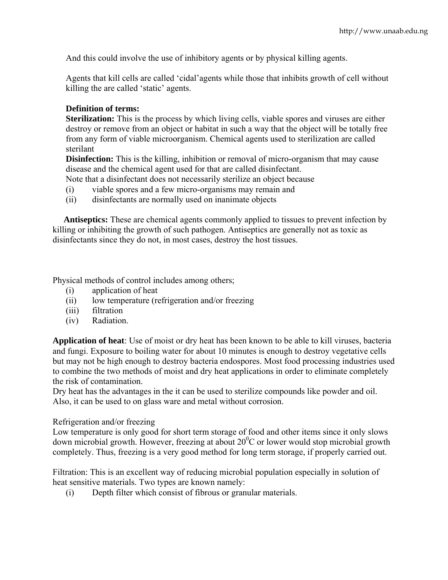And this could involve the use of inhibitory agents or by physical killing agents.

Agents that kill cells are called 'cidal'agents while those that inhibits growth of cell without killing the are called 'static' agents.

# **Definition of terms:**

**Sterilization:** This is the process by which living cells, viable spores and viruses are either destroy or remove from an object or habitat in such a way that the object will be totally free from any form of viable microorganism. Chemical agents used to sterilization are called sterilant

**Disinfection:** This is the killing, inhibition or removal of micro-organism that may cause disease and the chemical agent used for that are called disinfectant.

- Note that a disinfectant does not necessarily sterilize an object because
- (i) viable spores and a few micro-organisms may remain and
- (ii) disinfectants are normally used on inanimate objects

 **Antiseptics:** These are chemical agents commonly applied to tissues to prevent infection by killing or inhibiting the growth of such pathogen. Antiseptics are generally not as toxic as disinfectants since they do not, in most cases, destroy the host tissues.

Physical methods of control includes among others;

- (i) application of heat
- (ii) low temperature (refrigeration and/or freezing
- (iii) filtration
- (iv) Radiation.

**Application of heat**: Use of moist or dry heat has been known to be able to kill viruses, bacteria and fungi. Exposure to boiling water for about 10 minutes is enough to destroy vegetative cells but may not be high enough to destroy bacteria endospores. Most food processing industries used to combine the two methods of moist and dry heat applications in order to eliminate completely the risk of contamination.

Dry heat has the advantages in the it can be used to sterilize compounds like powder and oil. Also, it can be used to on glass ware and metal without corrosion.

## Refrigeration and/or freezing

Low temperature is only good for short term storage of food and other items since it only slows down microbial growth. However, freezing at about  $20^{\circ}$ C or lower would stop microbial growth completely. Thus, freezing is a very good method for long term storage, if properly carried out.

Filtration: This is an excellent way of reducing microbial population especially in solution of heat sensitive materials. Two types are known namely:

(i) Depth filter which consist of fibrous or granular materials.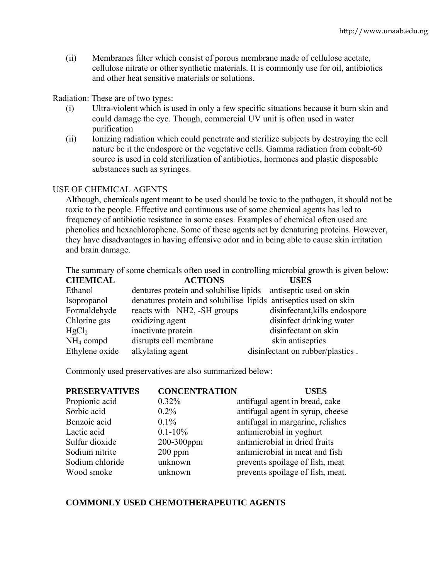(ii) Membranes filter which consist of porous membrane made of cellulose acetate, cellulose nitrate or other synthetic materials. It is commonly use for oil, antibiotics and other heat sensitive materials or solutions.

Radiation: These are of two types:

- (i) Ultra-violent which is used in only a few specific situations because it burn skin and could damage the eye. Though, commercial UV unit is often used in water purification
- (ii) Ionizing radiation which could penetrate and sterilize subjects by destroying the cell nature be it the endospore or the vegetative cells. Gamma radiation from cobalt-60 source is used in cold sterilization of antibiotics, hormones and plastic disposable substances such as syringes.

# USE OF CHEMICAL AGENTS

Although, chemicals agent meant to be used should be toxic to the pathogen, it should not be toxic to the people. Effective and continuous use of some chemical agents has led to frequency of antibiotic resistance in some cases. Examples of chemical often used are phenolics and hexachlorophene. Some of these agents act by denaturing proteins. However, they have disadvantages in having offensive odor and in being able to cause skin irritation and brain damage.

The summary of some chemicals often used in controlling microbial growth is given below:

| <b>CHEMICAL</b>   | <b>ACTIONS</b>                                                   | <b>USES</b>                      |
|-------------------|------------------------------------------------------------------|----------------------------------|
| Ethanol           | dentures protein and solubilise lipids antiseptic used on skin   |                                  |
| Isopropanol       | denatures protein and solubilise lipids antiseptics used on skin |                                  |
| Formaldehyde      | reacts with -NH2, -SH groups                                     | disinfectant, kills endospore    |
| Chlorine gas      | oxidizing agent                                                  | disinfect drinking water         |
| HgCl <sub>2</sub> | inactivate protein                                               | disinfectant on skin             |
| $NH4$ compd       | disrupts cell membrane                                           | skin antiseptics                 |
| Ethylene oxide    | alkylating agent                                                 | disinfectant on rubber/plastics. |

Commonly used preservatives are also summarized below:

| <b>PRESERVATIVES</b> | <b>CONCENTRATION</b> | <b>USES</b>                      |
|----------------------|----------------------|----------------------------------|
| Propionic acid       | $0.32\%$             | antifugal agent in bread, cake   |
| Sorbic acid          | $0.2\%$              | antifugal agent in syrup, cheese |
| Benzoic acid         | $0.1\%$              | antifugal in margarine, relishes |
| Lactic acid          | $0.1 - 10\%$         | antimicrobial in yoghurt         |
| Sulfur dioxide       | 200-300ppm           | antimicrobial in dried fruits    |
| Sodium nitrite       | $200$ ppm            | antimicrobial in meat and fish   |
| Sodium chloride      | unknown              | prevents spoilage of fish, meat  |
| Wood smoke           | unknown              | prevents spoilage of fish, meat. |

# **COMMONLY USED CHEMOTHERAPEUTIC AGENTS**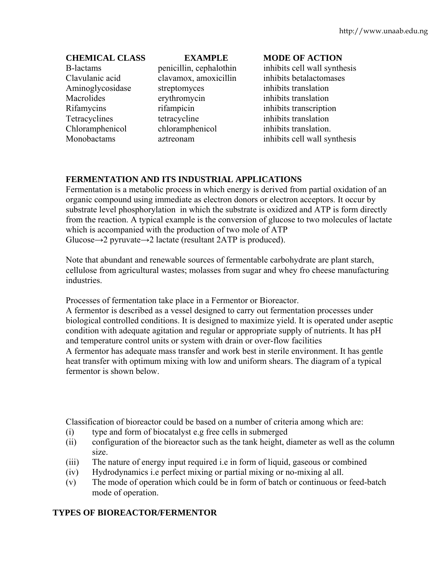# B-lactams penicillin, cephalothin inhibits cell wall synthesis Clavulanic acid clavamox, amoxicillin inhibits betalactomases Aminoglycosidase streptomyces inhibits translation Macrolides erythromycin inhibits translation Rifamycins rifampicin inhibits transcription Tetracyclines tetracycline inhibits translation Chloramphenicol chloramphenicol inhibits translation.

# **CHEMICAL CLASS EXAMPLE MODE OF ACTION**

Monobactams aztreonam inhibits cell wall synthesis

# **FERMENTATION AND ITS INDUSTRIAL APPLICATIONS**

Fermentation is a metabolic process in which energy is derived from partial oxidation of an organic compound using immediate as electron donors or electron acceptors. It occur by substrate level phosphorylation in which the substrate is oxidized and ATP is form directly from the reaction. A typical example is the conversion of glucose to two molecules of lactate which is accompanied with the production of two mole of ATP Glucose $\rightarrow$ 2 pyruvate $\rightarrow$ 2 lactate (resultant 2ATP is produced).

Note that abundant and renewable sources of fermentable carbohydrate are plant starch, cellulose from agricultural wastes; molasses from sugar and whey fro cheese manufacturing industries.

Processes of fermentation take place in a Fermentor or Bioreactor.

A fermentor is described as a vessel designed to carry out fermentation processes under biological controlled conditions. It is designed to maximize yield. It is operated under aseptic condition with adequate agitation and regular or appropriate supply of nutrients. It has pH and temperature control units or system with drain or over-flow facilities A fermentor has adequate mass transfer and work best in sterile environment. It has gentle heat transfer with optimum mixing with low and uniform shears. The diagram of a typical fermentor is shown below.

Classification of bioreactor could be based on a number of criteria among which are:

- (i) type and form of biocatalyst e.g free cells in submerged
- (ii) configuration of the bioreactor such as the tank height, diameter as well as the column size.
- (iii) The nature of energy input required i.e in form of liquid, gaseous or combined
- (iv) Hydrodynamics i.e perfect mixing or partial mixing or no-mixing al all.
- (v) The mode of operation which could be in form of batch or continuous or feed-batch mode of operation.

# **TYPES OF BIOREACTOR/FERMENTOR**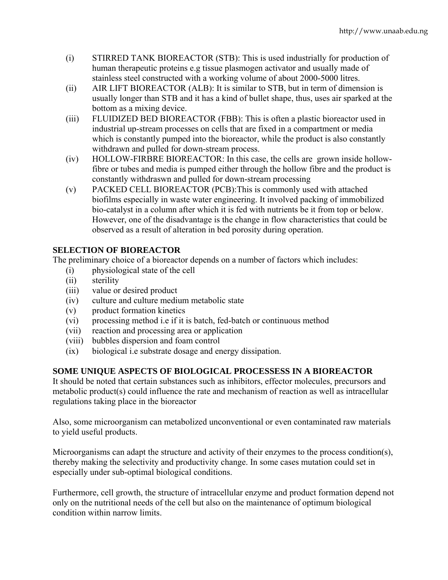- (i) STIRRED TANK BIOREACTOR (STB): This is used industrially for production of human therapeutic proteins e.g tissue plasmogen activator and usually made of stainless steel constructed with a working volume of about 2000-5000 litres.
- (ii) AIR LIFT BIOREACTOR (ALB): It is similar to STB, but in term of dimension is usually longer than STB and it has a kind of bullet shape, thus, uses air sparked at the bottom as a mixing device.
- (iii) FLUIDIZED BED BIOREACTOR (FBB): This is often a plastic bioreactor used in industrial up-stream processes on cells that are fixed in a compartment or media which is constantly pumped into the bioreactor, while the product is also constantly withdrawn and pulled for down-stream process.
- (iv) HOLLOW-FIRBRE BIOREACTOR: In this case, the cells are grown inside hollowfibre or tubes and media is pumped either through the hollow fibre and the product is constantly withdraswn and pulled for down-stream processing
- (v) PACKED CELL BIOREACTOR (PCB):This is commonly used with attached biofilms especially in waste water engineering. It involved packing of immobilized bio-catalyst in a column after which it is fed with nutrients be it from top or below. However, one of the disadvantage is the change in flow characteristics that could be observed as a result of alteration in bed porosity during operation.

# **SELECTION OF BIOREACTOR**

The preliminary choice of a bioreactor depends on a number of factors which includes:

- (i) physiological state of the cell
- (ii) sterility
- (iii) value or desired product
- (iv) culture and culture medium metabolic state
- (v) product formation kinetics
- (vi) processing method i.e if it is batch, fed-batch or continuous method
- (vii) reaction and processing area or application
- (viii) bubbles dispersion and foam control
- (ix) biological i.e substrate dosage and energy dissipation.

# **SOME UNIQUE ASPECTS OF BIOLOGICAL PROCESSESS IN A BIOREACTOR**

It should be noted that certain substances such as inhibitors, effector molecules, precursors and metabolic product(s) could influence the rate and mechanism of reaction as well as intracellular regulations taking place in the bioreactor

Also, some microorganism can metabolized unconventional or even contaminated raw materials to yield useful products.

Microorganisms can adapt the structure and activity of their enzymes to the process condition(s), thereby making the selectivity and productivity change. In some cases mutation could set in especially under sub-optimal biological conditions.

Furthermore, cell growth, the structure of intracellular enzyme and product formation depend not only on the nutritional needs of the cell but also on the maintenance of optimum biological condition within narrow limits.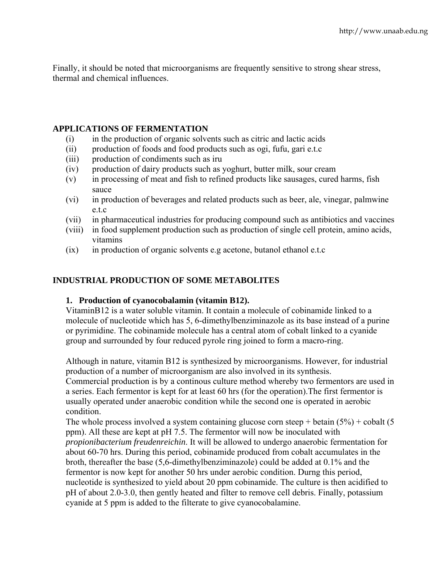Finally, it should be noted that microorganisms are frequently sensitive to strong shear stress, thermal and chemical influences.

# **APPLICATIONS OF FERMENTATION**

- (i) in the production of organic solvents such as citric and lactic acids
- (ii) production of foods and food products such as ogi, fufu, gari e.t.c
- (iii) production of condiments such as iru
- (iv) production of dairy products such as yoghurt, butter milk, sour cream
- (v) in processing of meat and fish to refined products like sausages, cured harms, fish sauce
- (vi) in production of beverages and related products such as beer, ale, vinegar, palmwine e.t.c
- (vii) in pharmaceutical industries for producing compound such as antibiotics and vaccines
- (viii) in food supplement production such as production of single cell protein, amino acids, vitamins
- (ix) in production of organic solvents e.g acetone, butanol ethanol e.t.c

# **INDUSTRIAL PRODUCTION OF SOME METABOLITES**

## **1. Production of cyanocobalamin (vitamin B12).**

VitaminB12 is a water soluble vitamin. It contain a molecule of cobinamide linked to a molecule of nucleotide which has 5, 6-dimethylbenziminazole as its base instead of a purine or pyrimidine. The cobinamide molecule has a central atom of cobalt linked to a cyanide group and surrounded by four reduced pyrole ring joined to form a macro-ring.

Although in nature, vitamin B12 is synthesized by microorganisms. However, for industrial production of a number of microorganism are also involved in its synthesis.

Commercial production is by a continous culture method whereby two fermentors are used in a series. Each fermentor is kept for at least 60 hrs (for the operation).The first fermentor is usually operated under anaerobic condition while the second one is operated in aerobic condition.

The whole process involved a system containing glucose corn steep + betain  $(5\%)$  + cobalt  $(5\%)$ ppm). All these are kept at pH 7.5. The fermentor will now be inoculated with *propionibacterium freudenreichin*. It will be allowed to undergo anaerobic fermentation for about 60-70 hrs. During this period, cobinamide produced from cobalt accumulates in the broth, thereafter the base (5,6-dimethylbenziminazole) could be added at 0.1% and the fermentor is now kept for another 50 hrs under aerobic condition. Durng this period, nucleotide is synthesized to yield about 20 ppm cobinamide. The culture is then acidified to pH of about 2.0-3.0, then gently heated and filter to remove cell debris. Finally, potassium cyanide at 5 ppm is added to the filterate to give cyanocobalamine.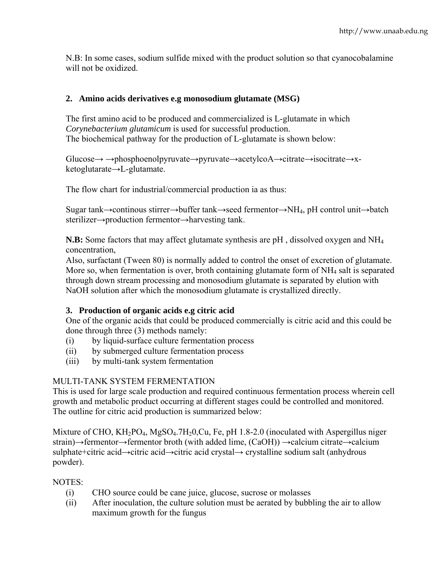N.B: In some cases, sodium sulfide mixed with the product solution so that cyanocobalamine will not be oxidized.

# **2. Amino acids derivatives e.g monosodium glutamate (MSG)**

The first amino acid to be produced and commercialized is L-glutamate in which *Corynebacterium glutamicum* is used for successful production. The biochemical pathway for the production of L-glutamate is shown below:

Glucose→ →phosphoenolpyruvate→pyruvate→acetylcoA→citrate→isocitrate→xketoglutarate→L-glutamate.

The flow chart for industrial/commercial production ia as thus:

Sugar tank→continous stirrer→buffer tank→seed fermentor→NH4, pH control unit→batch sterilizer→production fermentor→harvesting tank.

**N.B:** Some factors that may affect glutamate synthesis are pH , dissolved oxygen and NH4 concentration,

Also, surfactant (Tween 80) is normally added to control the onset of excretion of glutamate. More so, when fermentation is over, broth containing glutamate form of NH<sub>4</sub> salt is separated through down stream processing and monosodium glutamate is separated by elution with NaOH solution after which the monosodium glutamate is crystallized directly.

# **3. Production of organic acids e.g citric acid**

One of the organic acids that could be produced commercially is citric acid and this could be done through three (3) methods namely:

- (i) by liquid-surface culture fermentation process
- (ii) by submerged culture fermentation process
- (iii) by multi-tank system fermentation

# MULTI-TANK SYSTEM FERMENTATION

This is used for large scale production and required continuous fermentation process wherein cell growth and metabolic product occurring at different stages could be controlled and monitored. The outline for citric acid production is summarized below:

Mixture of CHO, KH<sub>2</sub>PO<sub>4</sub>, MgSO<sub>4</sub>.7H<sub>2</sub>0,Cu, Fe, pH 1.8-2.0 (inoculated with Aspergillus niger strain)→fermentor→fermentor broth (with added lime, (CaOH)) →calcium citrate→calcium sulphate+citric acid→citric acid→citric acid crystal→ crystalline sodium salt (anhydrous powder).

# NOTES:

- (i) CHO source could be cane juice, glucose, sucrose or molasses
- (ii) After inoculation, the culture solution must be aerated by bubbling the air to allow maximum growth for the fungus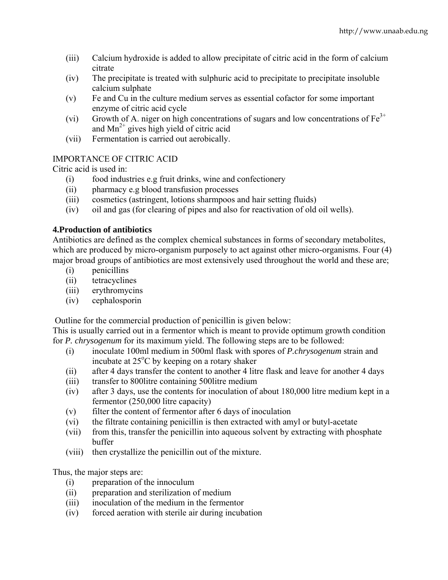- (iii) Calcium hydroxide is added to allow precipitate of citric acid in the form of calcium citrate
- (iv) The precipitate is treated with sulphuric acid to precipitate to precipitate insoluble calcium sulphate
- (v) Fe and Cu in the culture medium serves as essential cofactor for some important enzyme of citric acid cycle
- (vi) Growth of A. niger on high concentrations of sugars and low concentrations of  $Fe<sup>3+</sup>$ and  $Mn^{2+}$  gives high yield of citric acid
- (vii) Fermentation is carried out aerobically.

# IMPORTANCE OF CITRIC ACID

Citric acid is used in:

- (i) food industries e.g fruit drinks, wine and confectionery
- (ii) pharmacy e.g blood transfusion processes
- (iii) cosmetics (astringent, lotions sharmpoos and hair setting fluids)
- (iv) oil and gas (for clearing of pipes and also for reactivation of old oil wells).

# **4.Production of antibiotics**

Antibiotics are defined as the complex chemical substances in forms of secondary metabolites, which are produced by micro-organism purposely to act against other micro-organisms. Four (4) major broad groups of antibiotics are most extensively used throughout the world and these are;

- (i) penicillins
- (ii) tetracyclines
- (iii) erythromycins
- (iv) cephalosporin

Outline for the commercial production of penicillin is given below:

This is usually carried out in a fermentor which is meant to provide optimum growth condition for *P. chrysogenum* for its maximum yield. The following steps are to be followed:

- (i) inoculate 100ml medium in 500ml flask with spores of *P.chrysogenum* strain and incubate at 25°C by keeping on a rotary shaker
- (ii) after 4 days transfer the content to another 4 litre flask and leave for another 4 days
- (iii) transfer to 800litre containing 500litre medium
- (iv) after 3 days, use the contents for inoculation of about 180,000 litre medium kept in a fermentor (250,000 litre capacity)
- (v) filter the content of fermentor after 6 days of inoculation
- (vi) the filtrate containing penicillin is then extracted with amyl or butyl-acetate
- (vii) from this, transfer the penicillin into aqueous solvent by extracting with phosphate buffer
- (viii) then crystallize the penicillin out of the mixture.

Thus, the major steps are:

- (i) preparation of the innoculum
- (ii) preparation and sterilization of medium
- (iii) inoculation of the medium in the fermentor
- (iv) forced aeration with sterile air during incubation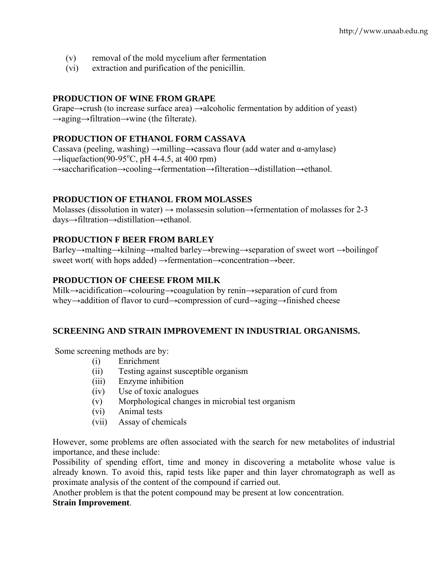- (v) removal of the mold mycelium after fermentation
- (vi) extraction and purification of the penicillin.

# **PRODUCTION OF WINE FROM GRAPE**

Grape→crush (to increase surface area) →alcoholic fermentation by addition of yeast) →aging→filtration→wine (the filterate).

# **PRODUCTION OF ETHANOL FORM CASSAVA**

Cassava (peeling, washing)  $\rightarrow$ milling $\rightarrow$ cassava flour (add water and α-amylase)  $\rightarrow$ liquefaction(90-95°C, pH 4-4.5, at 400 rpm) →saccharification→cooling→fermentation→filteration→distillation→ethanol.

# **PRODUCTION OF ETHANOL FROM MOLASSES**

Molasses (dissolution in water)  $\rightarrow$  molassesin solution $\rightarrow$ fermentation of molasses for 2-3 days→filtration→distillation→ethanol.

# **PRODUCTION F BEER FROM BARLEY**

Barley→malting→kilning→malted barley→brewing→separation of sweet wort →boilingof sweet wort( with hops added) →fermentation→concentration→beer.

# **PRODUCTION OF CHEESE FROM MILK**

Milk→acidification→colouring→coagulation by renin→separation of curd from whey→addition of flavor to curd→compression of curd→aging→finished cheese

## **SCREENING AND STRAIN IMPROVEMENT IN INDUSTRIAL ORGANISMS.**

Some screening methods are by:

- (i) Enrichment
- (ii) Testing against susceptible organism
- (iii) Enzyme inhibition
- (iv) Use of toxic analogues
- (v) Morphological changes in microbial test organism
- (vi) Animal tests
- (vii) Assay of chemicals

However, some problems are often associated with the search for new metabolites of industrial importance, and these include:

Possibility of spending effort, time and money in discovering a metabolite whose value is already known. To avoid this, rapid tests like paper and thin layer chromatograph as well as proximate analysis of the content of the compound if carried out.

Another problem is that the potent compound may be present at low concentration.

## **Strain Improvement**.